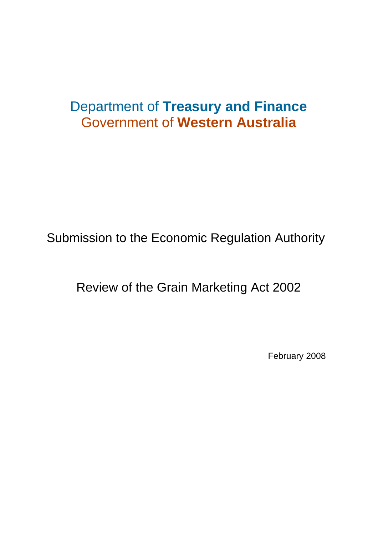# Department of **Treasury and Finance**  Government of **Western Australia**

Submission to the Economic Regulation Authority

Review of the Grain Marketing Act 2002

February 2008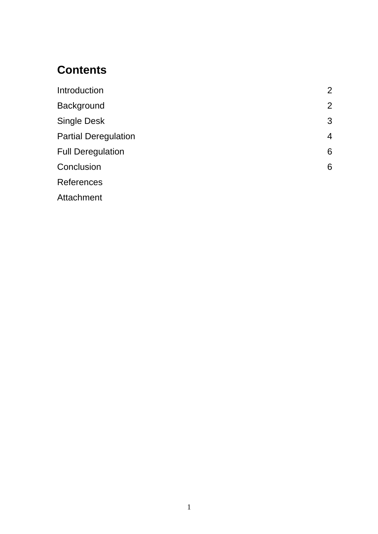## **Contents**

| Introduction                | $\overline{2}$ |
|-----------------------------|----------------|
| Background                  | $\overline{2}$ |
| <b>Single Desk</b>          | 3              |
| <b>Partial Deregulation</b> | 4              |
| <b>Full Deregulation</b>    | 6              |
| Conclusion                  | 6              |
| <b>References</b>           |                |
| Attachment                  |                |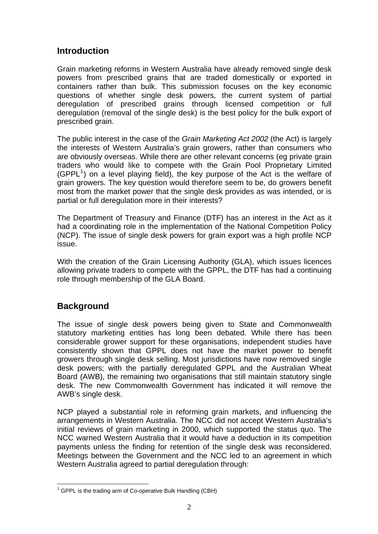#### **Introduction**

Grain marketing reforms in Western Australia have already removed single desk powers from prescribed grains that are traded domestically or exported in containers rather than bulk. This submission focuses on the key economic questions of whether single desk powers, the current system of partial deregulation of prescribed grains through licensed competition or full deregulation (removal of the single desk) is the best policy for the bulk export of prescribed grain.

The public interest in the case of the *Grain Marketing Act 2002* (the Act) is largely the interests of Western Australia's grain growers, rather than consumers who are obviously overseas. While there are other relevant concerns (eg private grain traders who would like to compete with the Grain Pool Proprietary Limited (GPPL $<sup>1</sup>$  $<sup>1</sup>$  $<sup>1</sup>$ ) on a level playing field), the key purpose of the Act is the welfare of</sup> grain growers. The key question would therefore seem to be, do growers benefit most from the market power that the single desk provides as was intended, or is partial or full deregulation more in their interests?

The Department of Treasury and Finance (DTF) has an interest in the Act as it had a coordinating role in the implementation of the National Competition Policy (NCP). The issue of single desk powers for grain export was a high profile NCP issue.

With the creation of the Grain Licensing Authority (GLA), which issues licences allowing private traders to compete with the GPPL, the DTF has had a continuing role through membership of the GLA Board.

#### **Background**

The issue of single desk powers being given to State and Commonwealth statutory marketing entities has long been debated. While there has been considerable grower support for these organisations, independent studies have consistently shown that GPPL does not have the market power to benefit growers through single desk selling. Most jurisdictions have now removed single desk powers; with the partially deregulated GPPL and the Australian Wheat Board (AWB), the remaining two organisations that still maintain statutory single desk. The new Commonwealth Government has indicated it will remove the AWB's single desk.

NCP played a substantial role in reforming grain markets, and influencing the arrangements in Western Australia. The NCC did not accept Western Australia's initial reviews of grain marketing in 2000, which supported the status quo. The NCC warned Western Australia that it would have a deduction in its competition payments unless the finding for retention of the single desk was reconsidered. Meetings between the Government and the NCC led to an agreement in which Western Australia agreed to partial deregulation through:

<span id="page-2-0"></span>The Local Corporation<br>
The Fig. 2 of Co-operative Bulk Handling (CBH)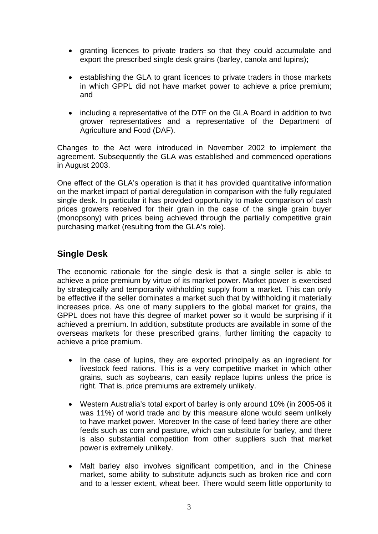- granting licences to private traders so that they could accumulate and export the prescribed single desk grains (barley, canola and lupins);
- establishing the GLA to grant licences to private traders in those markets in which GPPL did not have market power to achieve a price premium; and
- including a representative of the DTF on the GLA Board in addition to two grower representatives and a representative of the Department of Agriculture and Food (DAF).

Changes to the Act were introduced in November 2002 to implement the agreement. Subsequently the GLA was established and commenced operations in August 2003.

One effect of the GLA's operation is that it has provided quantitative information on the market impact of partial deregulation in comparison with the fully regulated single desk. In particular it has provided opportunity to make comparison of cash prices growers received for their grain in the case of the single grain buyer (monopsony) with prices being achieved through the partially competitive grain purchasing market (resulting from the GLA's role).

#### **Single Desk**

The economic rationale for the single desk is that a single seller is able to achieve a price premium by virtue of its market power. Market power is exercised by strategically and temporarily withholding supply from a market. This can only be effective if the seller dominates a market such that by withholding it materially increases price. As one of many suppliers to the global market for grains, the GPPL does not have this degree of market power so it would be surprising if it achieved a premium. In addition, substitute products are available in some of the overseas markets for these prescribed grains, further limiting the capacity to achieve a price premium.

- In the case of lupins, they are exported principally as an ingredient for livestock feed rations. This is a very competitive market in which other grains, such as soybeans, can easily replace lupins unless the price is right. That is, price premiums are extremely unlikely.
- Western Australia's total export of barley is only around 10% (in 2005-06 it was 11%) of world trade and by this measure alone would seem unlikely to have market power. Moreover In the case of feed barley there are other feeds such as corn and pasture, which can substitute for barley, and there is also substantial competition from other suppliers such that market power is extremely unlikely.
- Malt barley also involves significant competition, and in the Chinese market, some ability to substitute adjuncts such as broken rice and corn and to a lesser extent, wheat beer. There would seem little opportunity to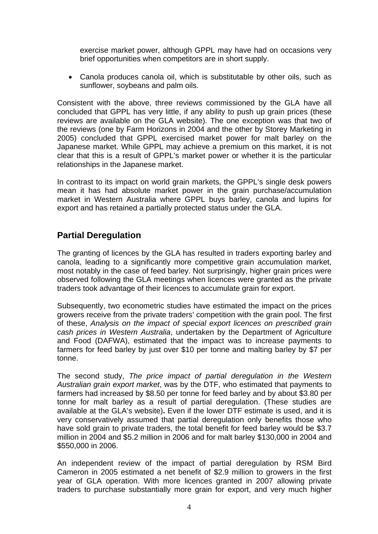exercise market power, although GPPL may have had on occasions very brief opportunities when competitors are in short supply.

• Canola produces canola oil, which is substitutable by other oils, such as sunflower, soybeans and palm oils.

Consistent with the above, three reviews commissioned by the GLA have all concluded that GPPL has very little, if any ability to push up grain prices (these reviews are available on the GLA website). The one exception was that two of the reviews (one by Farm Horizons in 2004 and the other by Storey Marketing in 2005) concluded that GPPL exercised market power for malt barley on the Japanese market. While GPPL may achieve a premium on this market, it is not clear that this is a result of GPPL's market power or whether it is the particular relationships in the Japanese market.

In contrast to its impact on world grain markets, the GPPL's single desk powers mean it has had absolute market power in the grain purchase/accumulation market in Western Australia where GPPL buys barley, canola and lupins for export and has retained a partially protected status under the GLA.

#### **Partial Deregulation**

The granting of licences by the GLA has resulted in traders exporting barley and canola, leading to a significantly more competitive grain accumulation market, most notably in the case of feed barley. Not surprisingly, higher grain prices were observed following the GLA meetings when licences were granted as the private traders took advantage of their licences to accumulate grain for export.

Subsequently, two econometric studies have estimated the impact on the prices growers receive from the private traders' competition with the grain pool. The first of these, *Analysis on the impact of special export licences on prescribed grain cash prices in Western Australia*, undertaken by the Department of Agriculture and Food (DAFWA), estimated that the impact was to increase payments to farmers for feed barley by just over \$10 per tonne and malting barley by \$7 per tonne.

The second study, *The price impact of partial deregulation in the Western Australian grain export market*, was by the DTF, who estimated that payments to farmers had increased by \$8.50 per tonne for feed barley and by about \$3.80 per tonne for malt barley as a result of partial deregulation. (These studies are available at the GLA's website)**.** Even if the lower DTF estimate is used, and it is very conservatively assumed that partial deregulation only benefits those who have sold grain to private traders, the total benefit for feed barley would be \$3.7 million in 2004 and \$5.2 million in 2006 and for malt barley \$130,000 in 2004 and \$550,000 in 2006.

An independent review of the impact of partial deregulation by RSM Bird Cameron in 2005 estimated a net benefit of \$2.9 million to growers in the first year of GLA operation. With more licences granted in 2007 allowing private traders to purchase substantially more grain for export, and very much higher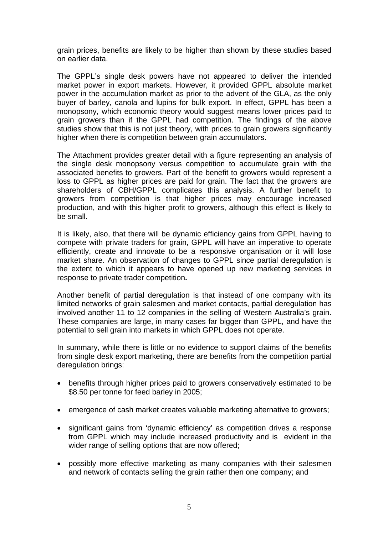grain prices, benefits are likely to be higher than shown by these studies based on earlier data.

The GPPL's single desk powers have not appeared to deliver the intended market power in export markets. However, it provided GPPL absolute market power in the accumulation market as prior to the advent of the GLA, as the only buyer of barley, canola and lupins for bulk export. In effect, GPPL has been a monopsony, which economic theory would suggest means lower prices paid to grain growers than if the GPPL had competition. The findings of the above studies show that this is not just theory, with prices to grain growers significantly higher when there is competition between grain accumulators.

The Attachment provides greater detail with a figure representing an analysis of the single desk monopsony versus competition to accumulate grain with the associated benefits to growers. Part of the benefit to growers would represent a loss to GPPL as higher prices are paid for grain. The fact that the growers are shareholders of CBH/GPPL complicates this analysis. A further benefit to growers from competition is that higher prices may encourage increased production, and with this higher profit to growers, although this effect is likely to be small.

It is likely, also, that there will be dynamic efficiency gains from GPPL having to compete with private traders for grain, GPPL will have an imperative to operate efficiently, create and innovate to be a responsive organisation or it will lose market share. An observation of changes to GPPL since partial deregulation is the extent to which it appears to have opened up new marketing services in response to private trader competition**.** 

Another benefit of partial deregulation is that instead of one company with its limited networks of grain salesmen and market contacts, partial deregulation has involved another 11 to 12 companies in the selling of Western Australia's grain. These companies are large, in many cases far bigger than GPPL, and have the potential to sell grain into markets in which GPPL does not operate.

In summary, while there is little or no evidence to support claims of the benefits from single desk export marketing, there are benefits from the competition partial deregulation brings:

- benefits through higher prices paid to growers conservatively estimated to be \$8.50 per tonne for feed barley in 2005;
- emergence of cash market creates valuable marketing alternative to growers;
- significant gains from 'dynamic efficiency' as competition drives a response from GPPL which may include increased productivity and is evident in the wider range of selling options that are now offered;
- possibly more effective marketing as many companies with their salesmen and network of contacts selling the grain rather then one company; and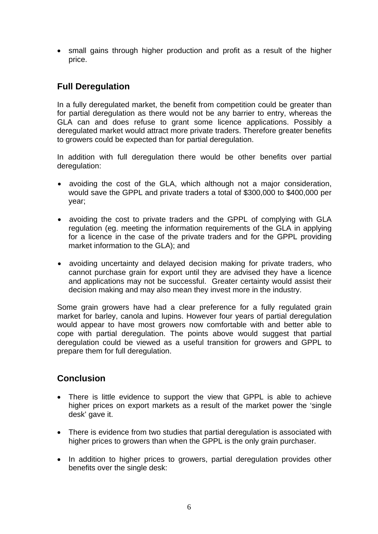• small gains through higher production and profit as a result of the higher price.

### **Full Deregulation**

In a fully deregulated market, the benefit from competition could be greater than for partial deregulation as there would not be any barrier to entry, whereas the GLA can and does refuse to grant some licence applications. Possibly a deregulated market would attract more private traders. Therefore greater benefits to growers could be expected than for partial deregulation.

In addition with full deregulation there would be other benefits over partial deregulation:

- avoiding the cost of the GLA, which although not a major consideration, would save the GPPL and private traders a total of \$300,000 to \$400,000 per year;
- avoiding the cost to private traders and the GPPL of complying with GLA regulation (eg. meeting the information requirements of the GLA in applying for a licence in the case of the private traders and for the GPPL providing market information to the GLA); and
- avoiding uncertainty and delayed decision making for private traders, who cannot purchase grain for export until they are advised they have a licence and applications may not be successful. Greater certainty would assist their decision making and may also mean they invest more in the industry.

Some grain growers have had a clear preference for a fully regulated grain market for barley, canola and lupins. However four years of partial deregulation would appear to have most growers now comfortable with and better able to cope with partial deregulation. The points above would suggest that partial deregulation could be viewed as a useful transition for growers and GPPL to prepare them for full deregulation.

#### **Conclusion**

- There is little evidence to support the view that GPPL is able to achieve higher prices on export markets as a result of the market power the 'single desk' gave it.
- There is evidence from two studies that partial deregulation is associated with higher prices to growers than when the GPPL is the only grain purchaser.
- In addition to higher prices to growers, partial deregulation provides other benefits over the single desk: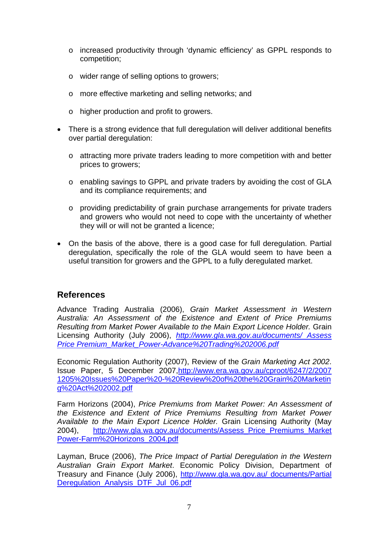- o increased productivity through 'dynamic efficiency' as GPPL responds to competition;
- o wider range of selling options to growers;
- o more effective marketing and selling networks; and
- o higher production and profit to growers.
- There is a strong evidence that full deregulation will deliver additional benefits over partial deregulation:
	- o attracting more private traders leading to more competition with and better prices to growers;
	- o enabling savings to GPPL and private traders by avoiding the cost of GLA and its compliance requirements; and
	- o providing predictability of grain purchase arrangements for private traders and growers who would not need to cope with the uncertainty of whether they will or will not be granted a licence;
- On the basis of the above, there is a good case for full deregulation. Partial deregulation, specifically the role of the GLA would seem to have been a useful transition for growers and the GPPL to a fully deregulated market.

#### **References**

Advance Trading Australia (2006), *Grain Market Assessment in Western Australia: An Assessment of the Existence and Extent of Price Premiums Resulting from Market Power Available to the Main Export Licence Holder.* Grain Licensing Authority (July 2006), *[http://www.gla.wa.gov.au/documents/ Assess](http://www.gla.wa.gov.au/documents/%20Assess%20Price%20Premium_Market_Power-Advance%20Trading%202006.pdf)  [Price Premium\\_Market\\_Power-Advance%20Trading%202006.pdf](http://www.gla.wa.gov.au/documents/%20Assess%20Price%20Premium_Market_Power-Advance%20Trading%202006.pdf)*

Economic Regulation Authority (2007), Review of the *Grain Marketing Act 2002*. Issue Paper, 5 December 2007[,http://www.era.wa.gov.au/cproot/6247/2/2007](http://www.era.wa.gov.au/cproot/6247/2/2007%201205%20Issues%20Paper%20-%20Review%20of%20the%20Grain%20Marketin%20g%20Act%202002.pdf)  [1205%20Issues%20Paper%20-%20Review%20of%20the%20Grain%20Marketin](http://www.era.wa.gov.au/cproot/6247/2/2007%201205%20Issues%20Paper%20-%20Review%20of%20the%20Grain%20Marketin%20g%20Act%202002.pdf)  [g%20Act%202002.pdf](http://www.era.wa.gov.au/cproot/6247/2/2007%201205%20Issues%20Paper%20-%20Review%20of%20the%20Grain%20Marketin%20g%20Act%202002.pdf)

Farm Horizons (2004), *Price Premiums from Market Power: An Assessment of the Existence and Extent of Price Premiums Resulting from Market Power Available to the Main Export Licence Holder.* Grain Licensing Authority (May 2004), [http://www.gla.wa.gov.au/documents/Assess\\_Price\\_Premiums\\_Market](http://www.gla.wa.gov.au/documents/Assess_Price_Premiums_Market%20Power-Farm%20Horizons_2004.pdf)  [Power-Farm%20Horizons\\_2004.pdf](http://www.gla.wa.gov.au/documents/Assess_Price_Premiums_Market%20Power-Farm%20Horizons_2004.pdf)

Layman, Bruce (2006), *The Price Impact of Partial Deregulation in the Western Australian Grain Export Market*. Economic Policy Division, Department of Treasury and Finance (July 2006), [http://www.gla.wa.gov.au/ documents/Partial](http://www.gla.wa.gov.au/%20documents/Partial_Deregulation_Analysis_DTF_Jul_06.pdf)  Deregulation Analysis DTF Jul 06.pdf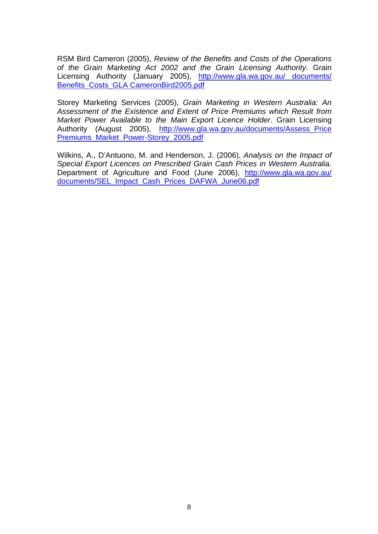RSM Bird Cameron (2005), *Review of the Benefits and Costs of the Operations of the Grain Marketing Act 2002 and the Grain Licensing Authority*. Grain Licensing Authority (January 2005), [http://www.gla.wa.gov.au/ documents/](http://www.gla.wa.gov.au/%20documents/%20Benefits_Costs_GLA%20CameronBird2005.pdf)  [Benefits\\_Costs\\_GLA CameronBird2005.pdf](http://www.gla.wa.gov.au/%20documents/%20Benefits_Costs_GLA%20CameronBird2005.pdf)

Storey Marketing Services (2005), *Grain Marketing in Western Australia: An Assessment of the Existence and Extent of Price Premiums which Result from Market Power Available to the Main Export Licence Holder*. Grain Licensing Authority (August 2005), [http://www.gla.wa.gov.au/documents/Assess\\_Price](http://www.gla.wa.gov.au/documents/Assess_Price%20Premiums_Market_Power-Storey_2005.pdf)  [Premiums\\_Market\\_Power-Storey\\_2005.pdf](http://www.gla.wa.gov.au/documents/Assess_Price%20Premiums_Market_Power-Storey_2005.pdf)

Wilkins, A., D'Antuono, M. and Henderson, J. (2006), *Analysis on the Impact of Special Export Licences on Prescribed Grain Cash Prices in Western Australia.* Department of Agriculture and Food (June 2006), [http://www.gla.wa.gov.au/](http://www.gla.wa.gov.au/%20documents/SEL_Impact_Cash_Prices_DAFWA_June06.pdf)  [documents/SEL\\_Impact\\_Cash\\_Prices\\_DAFWA\\_June06.pdf](http://www.gla.wa.gov.au/%20documents/SEL_Impact_Cash_Prices_DAFWA_June06.pdf)